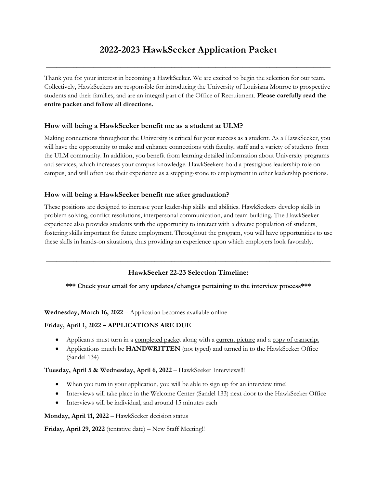# **2022-2023 HawkSeeker Application Packet**

\_\_\_\_\_\_\_\_\_\_\_\_\_\_\_\_\_\_\_\_\_\_\_\_\_\_\_\_\_\_\_\_\_\_\_\_\_\_\_\_\_\_\_\_\_\_\_\_\_\_\_\_\_\_\_\_\_\_\_\_\_\_\_\_\_\_\_\_\_\_\_\_\_\_\_\_\_\_\_\_\_\_\_\_

Thank you for your interest in becoming a HawkSeeker. We are excited to begin the selection for our team. Collectively, HawkSeekers are responsible for introducing the University of Louisiana Monroe to prospective students and their families, and are an integral part of the Office of Recruitment. **Please carefully read the entire packet and follow all directions.** 

# **How will being a HawkSeeker benefit me as a student at ULM?**

Making connections throughout the University is critical for your success as a student. As a HawkSeeker, you will have the opportunity to make and enhance connections with faculty, staff and a variety of students from the ULM community. In addition, you benefit from learning detailed information about University programs and services, which increases your campus knowledge. HawkSeekers hold a prestigious leadership role on campus, and will often use their experience as a stepping-stone to employment in other leadership positions.

# **How will being a HawkSeeker benefit me after graduation?**

These positions are designed to increase your leadership skills and abilities. HawkSeekers develop skills in problem solving, conflict resolutions, interpersonal communication, and team building. The HawkSeeker experience also provides students with the opportunity to interact with a diverse population of students, fostering skills important for future employment. Throughout the program, you will have opportunities to use these skills in hands-on situations, thus providing an experience upon which employers look favorably.

# **HawkSeeker 22-23 Selection Timeline:**

**\_\_\_\_\_\_\_\_\_\_\_\_\_\_\_\_\_\_\_\_\_\_\_\_\_\_\_\_\_\_\_\_\_\_\_\_\_\_\_\_\_\_\_\_\_\_\_\_\_\_\_\_\_\_\_\_\_\_\_\_\_\_\_\_\_\_\_\_\_\_\_\_\_\_\_\_\_\_\_\_\_\_\_\_**

#### **\*\*\* Check your email for any updates/changes pertaining to the interview process\*\*\***

**Wednesday, March 16, 2022** – Application becomes available online

#### **Friday, April 1, 2022 – APPLICATIONS ARE DUE**

- Applicants must turn in a <u>completed packe</u>t along with a <u>current picture</u> and a copy of transcript
- Applications much be **HANDWRITTEN** (not typed) and turned in to the HawkSeeker Office (Sandel 134)

#### **Tuesday, April 5 & Wednesday, April 6, 2022** – HawkSeeker Interviews!!!

- When you turn in your application, you will be able to sign up for an interview time!
- Interviews will take place in the Welcome Center (Sandel 133) next door to the HawkSeeker Office
- Interviews will be individual, and around 15 minutes each

#### **Monday, April 11, 2022** – HawkSeeker decision status

**Friday, April 29, 2022** (tentative date) – New Staff Meeting!!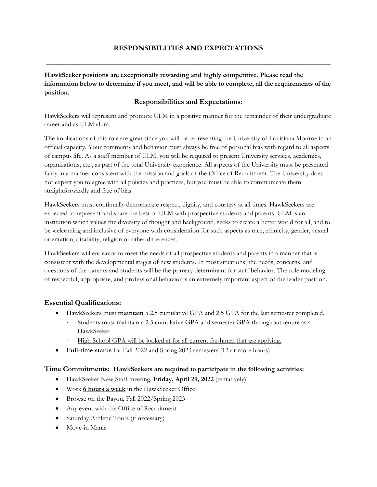# **RESPONSIBILITIES AND EXPECTATIONS**

**\_\_\_\_\_\_\_\_\_\_\_\_\_\_\_\_\_\_\_\_\_\_\_\_\_\_\_\_\_\_\_\_\_\_\_\_\_\_\_\_\_\_\_\_\_\_\_\_\_\_\_\_\_\_\_\_\_\_\_\_\_\_\_\_\_\_\_\_\_\_\_\_\_\_\_\_\_\_\_\_\_\_\_\_**

**HawkSeeker positions are exceptionally rewarding and highly competitive. Please read the information below to determine if you meet, and will be able to complete, all the requirements of the position.**

# **Responsibilities and Expectations:**

HawkSeekers will represent and promote ULM in a positive manner for the remainder of their undergraduate career and as ULM alum.

The implications of this role are great since you will be representing the University of Louisiana Monroe in an official capacity. Your comments and behavior must always be free of personal bias with regard to all aspects of campus life. As a staff member of ULM, you will be required to present University services, academics, organizations, etc., as part of the total University experience. All aspects of the University must be presented fairly in a manner consistent with the mission and goals of the Office of Recruitment. The University does not expect you to agree with all policies and practices, but you must be able to communicate them straightforwardly and free of bias.

HawkSeekers must continually demonstrate respect, dignity, and courtesy at all times. HawkSeekers are expected to represent and share the best of ULM with prospective students and parents. ULM is an institution which values the diversity of thought and background, seeks to create a better world for all, and to be welcoming and inclusive of everyone with consideration for such aspects as race, ethnicity, gender, sexual orientation, disability, religion or other differences.

HawkSeekers will endeavor to meet the needs of all prospective students and parents in a manner that is consistent with the developmental stages of new students. In most situations, the needs, concerns, and questions of the parents and students will be the primary determinant for staff behavior. The role modeling of respectful, appropriate, and professional behavior is an extremely important aspect of the leader position.

#### **Essential Qualifications:**

- HawkSeekers must **maintain** a 2.5 cumulative GPA and 2.5 GPA for the last semester completed.
	- Students must maintain a 2.5 cumulative GPA and semester GPA throughout tenure as a HawkSeeker
	- High School GPA will be looked at for all current freshmen that are applying.
- **Full-time status** for Fall 2022 and Spring 2023 semesters (12 or more hours)

#### **Time Commitments: HawkSeekers are required to participate in the following activities:**

- HawkSeeker New Staff meeting: **Friday, April 29, 2022** (tentatively)
- Work **6 hours a week** in the HawkSeeker Office
- Browse on the Bayou, Fall 2022/Spring 2023
- Any event with the Office of Recruitment
- Saturday Athletic Tours (if necessary)
- Move-in Mania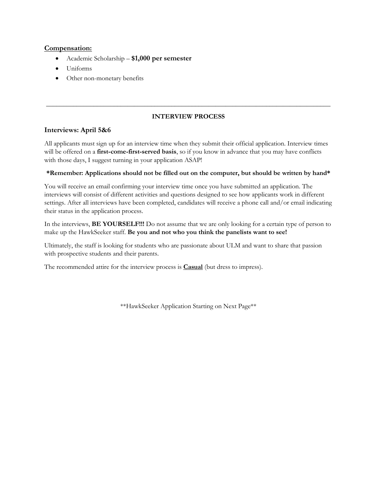#### **Compensation:**

- Academic Scholarship **\$1,000 per semester**
- Uniforms
- Other non-monetary benefits

### **INTERVIEW PROCESS**

**\_\_\_\_\_\_\_\_\_\_\_\_\_\_\_\_\_\_\_\_\_\_\_\_\_\_\_\_\_\_\_\_\_\_\_\_\_\_\_\_\_\_\_\_\_\_\_\_\_\_\_\_\_\_\_\_\_\_\_\_\_\_\_\_\_\_\_\_\_\_\_\_\_\_\_\_\_\_\_\_\_\_\_\_**

#### **Interviews: April 5&6**

All applicants must sign up for an interview time when they submit their official application. Interview times will be offered on a **first-come-first-served basis**, so if you know in advance that you may have conflicts with those days, I suggest turning in your application ASAP!

#### **\*Remember: Applications should not be filled out on the computer, but should be written by hand\***

You will receive an email confirming your interview time once you have submitted an application. The interviews will consist of different activities and questions designed to see how applicants work in different settings. After all interviews have been completed, candidates will receive a phone call and/or email indicating their status in the application process.

In the interviews, **BE YOURSELF!!!** Do not assume that we are only looking for a certain type of person to make up the HawkSeeker staff. **Be you and not who you think the panelists want to see!** 

Ultimately, the staff is looking for students who are passionate about ULM and want to share that passion with prospective students and their parents.

The recommended attire for the interview process is **Casual** (but dress to impress).

\*\*HawkSeeker Application Starting on Next Page\*\*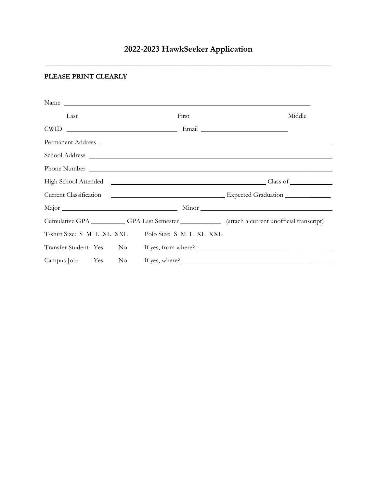# **2022-2023 HawkSeeker Application**

**\_\_\_\_\_\_\_\_\_\_\_\_\_\_\_\_\_\_\_\_\_\_\_\_\_\_\_\_\_\_\_\_\_\_\_\_\_\_\_\_\_\_\_\_\_\_\_\_\_\_\_\_\_\_\_\_\_\_\_\_\_\_\_\_\_\_\_\_\_\_\_\_\_\_\_\_\_\_\_\_\_\_\_\_**

# **PLEASE PRINT CLEARLY**

|      | Name                                               |                                                                                                      |
|------|----------------------------------------------------|------------------------------------------------------------------------------------------------------|
| Last | First                                              | Middle                                                                                               |
|      |                                                    |                                                                                                      |
|      | Permanent Address                                  |                                                                                                      |
|      |                                                    |                                                                                                      |
|      |                                                    |                                                                                                      |
|      |                                                    |                                                                                                      |
|      |                                                    |                                                                                                      |
|      |                                                    |                                                                                                      |
|      |                                                    | Cumulative GPA ____________GPA Last Semester ______________ (attach a current unofficial transcript) |
|      | T-shirt Size: S M L XL XXL Polo Size: S M L XL XXL |                                                                                                      |
|      |                                                    | Transfer Student: Yes No If yes, from where?                                                         |
|      |                                                    | Campus Job: Yes No If yes, where?                                                                    |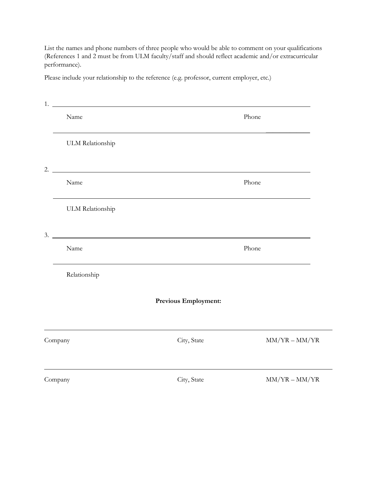List the names and phone numbers of three people who would be able to comment on your qualifications (References 1 and 2 must be from ULM faculty/staff and should reflect academic and/or extracurricular performance).

Please include your relationship to the reference (e.g. professor, current employer, etc.)

| 1. |                         |                             |                 |
|----|-------------------------|-----------------------------|-----------------|
|    | Name                    |                             | Phone           |
|    | <b>ULM Relationship</b> |                             |                 |
| 2. |                         |                             |                 |
|    | Name                    |                             | Phone           |
|    | <b>ULM Relationship</b> |                             |                 |
| 3. |                         |                             |                 |
|    | Name                    |                             | Phone           |
|    | Relationship            |                             |                 |
|    |                         | <b>Previous Employment:</b> |                 |
|    | Company                 | City, State                 | $MM/YR - MM/YR$ |
|    | Company                 | City, State                 | $MM/YR - MM/YR$ |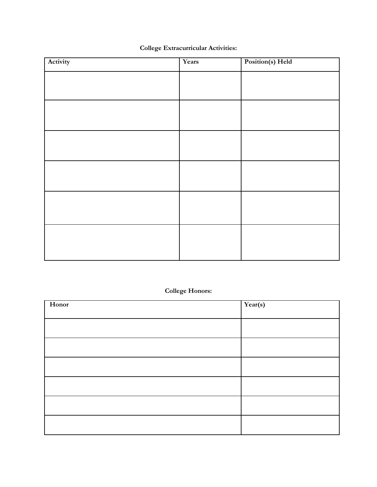| <b>College Extracurricular Activities:</b> |
|--------------------------------------------|
|--------------------------------------------|

| Activity | Years | Position(s) Held |
|----------|-------|------------------|
|          |       |                  |
|          |       |                  |
|          |       |                  |
|          |       |                  |
|          |       |                  |
|          |       |                  |
|          |       |                  |
|          |       |                  |
|          |       |                  |
|          |       |                  |
|          |       |                  |
|          |       |                  |
|          |       |                  |

# **College Honors:**

| Honor | Year(s) |
|-------|---------|
|       |         |
|       |         |
|       |         |
|       |         |
|       |         |
|       |         |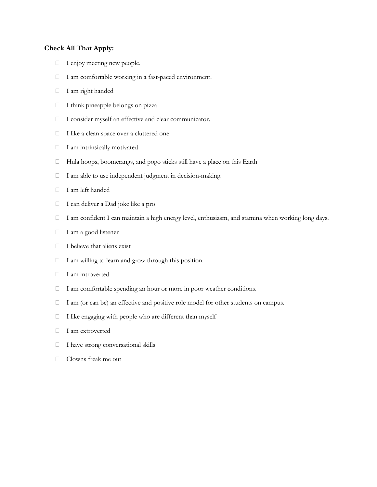# **Check All That Apply:**

- $\Box$  I enjoy meeting new people.
- I am comfortable working in a fast-paced environment.
- I am right handed
- $\Box$  I think pineapple belongs on pizza
- I consider myself an effective and clear communicator.
- $\Box$  I like a clean space over a cluttered one
- $\Box$  I am intrinsically motivated
- Hula hoops, boomerangs, and pogo sticks still have a place on this Earth
- $\Box$  I am able to use independent judgment in decision-making.
- I am left handed
- I can deliver a Dad joke like a pro
- I am confident I can maintain a high energy level, enthusiasm, and stamina when working long days.
- $\Box$  I am a good listener
- $\Box$  I believe that aliens exist
- $\Box$  I am willing to learn and grow through this position.
- $\Box$  I am introverted
- $\Box$  I am comfortable spending an hour or more in poor weather conditions.
- $\Box$  I am (or can be) an effective and positive role model for other students on campus.
- $\Box$  I like engaging with people who are different than myself
- I am extroverted
- $\Box$  I have strong conversational skills
- Clowns freak me out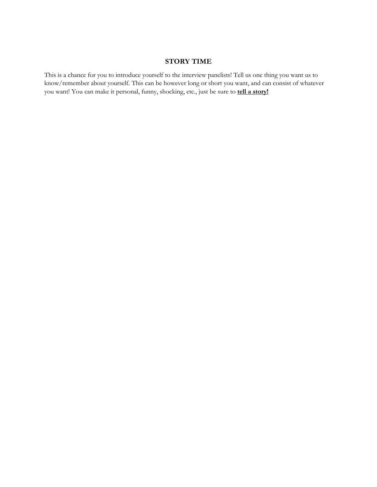#### **STORY TIME**

This is a chance for you to introduce yourself to the interview panelists! Tell us one thing you want us to know/remember about yourself. This can be however long or short you want, and can consist of whatever you want! You can make it personal, funny, shocking, etc., just be sure to **tell a story!**